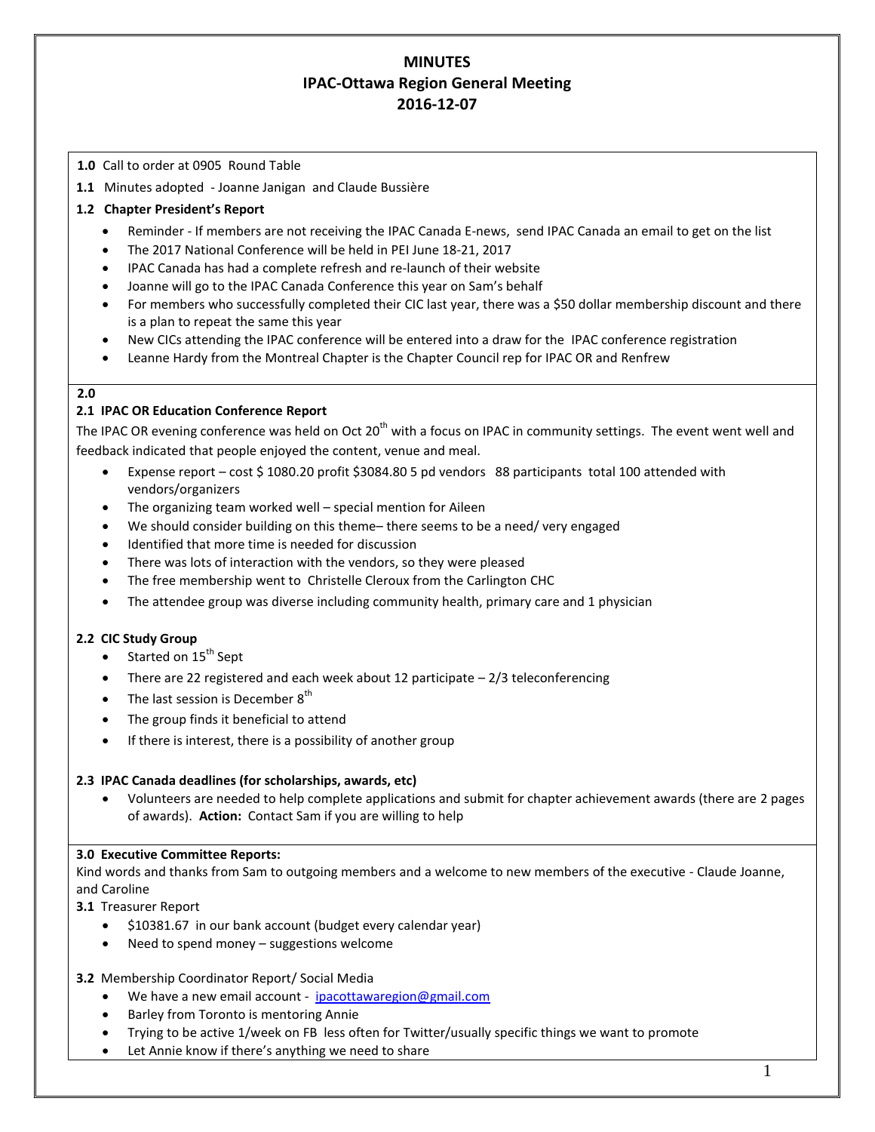# **MINUTES IPAC-Ottawa Region General Meeting 2016-12-07**

## **1.0** Call to order at 0905 Round Table

**1.1** Minutes adopted - Joanne Janigan and Claude Bussière

# **1.2 Chapter President's Report**

- Reminder If members are not receiving the IPAC Canada E-news, send IPAC Canada an email to get on the list
- The 2017 National Conference will be held in PEI June 18-21, 2017
- IPAC Canada has had a complete refresh and re-launch of their website
- Joanne will go to the IPAC Canada Conference this year on Sam's behalf
- For members who successfully completed their CIC last year, there was a \$50 dollar membership discount and there is a plan to repeat the same this year
- New CICs attending the IPAC conference will be entered into a draw for the IPAC conference registration
- Leanne Hardy from the Montreal Chapter is the Chapter Council rep for IPAC OR and Renfrew

## **2.0**

# **2.1 IPAC OR Education Conference Report**

The IPAC OR evening conference was held on Oct 20<sup>th</sup> with a focus on IPAC in community settings. The event went well and feedback indicated that people enjoyed the content, venue and meal.

- Expense report cost \$ 1080.20 profit \$3084.80 5 pd vendors 88 participants total 100 attended with vendors/organizers
- The organizing team worked well special mention for Aileen
- We should consider building on this theme– there seems to be a need/ very engaged
- Identified that more time is needed for discussion
- There was lots of interaction with the vendors, so they were pleased
- The free membership went to Christelle Cleroux from the Carlington CHC
- The attendee group was diverse including community health, primary care and 1 physician

## **2.2 CIC Study Group**

- $\bullet$  Started on 15<sup>th</sup> Sept
- There are 22 registered and each week about 12 participate  $-2/3$  teleconferencing
- The last session is December  $8<sup>th</sup>$
- The group finds it beneficial to attend
- If there is interest, there is a possibility of another group

## **2.3 IPAC Canada deadlines (for scholarships, awards, etc)**

 Volunteers are needed to help complete applications and submit for chapter achievement awards (there are 2 pages of awards). **Action:** Contact Sam if you are willing to help

# **3.0 Executive Committee Reports:**

Kind words and thanks from Sam to outgoing members and a welcome to new members of the executive - Claude Joanne, and Caroline

**3.1** Treasurer Report

- \$10381.67 in our bank account (budget every calendar year)
- Need to spend money suggestions welcome

## **3.2** Membership Coordinator Report/ Social Media

- We have a new email account [ipacottawaregion@gmail.com](mailto:ipacottawaregion@gmail.com)
- Barley from Toronto is mentoring Annie
- Trying to be active 1/week on FB less often for Twitter/usually specific things we want to promote
- Let Annie know if there's anything we need to share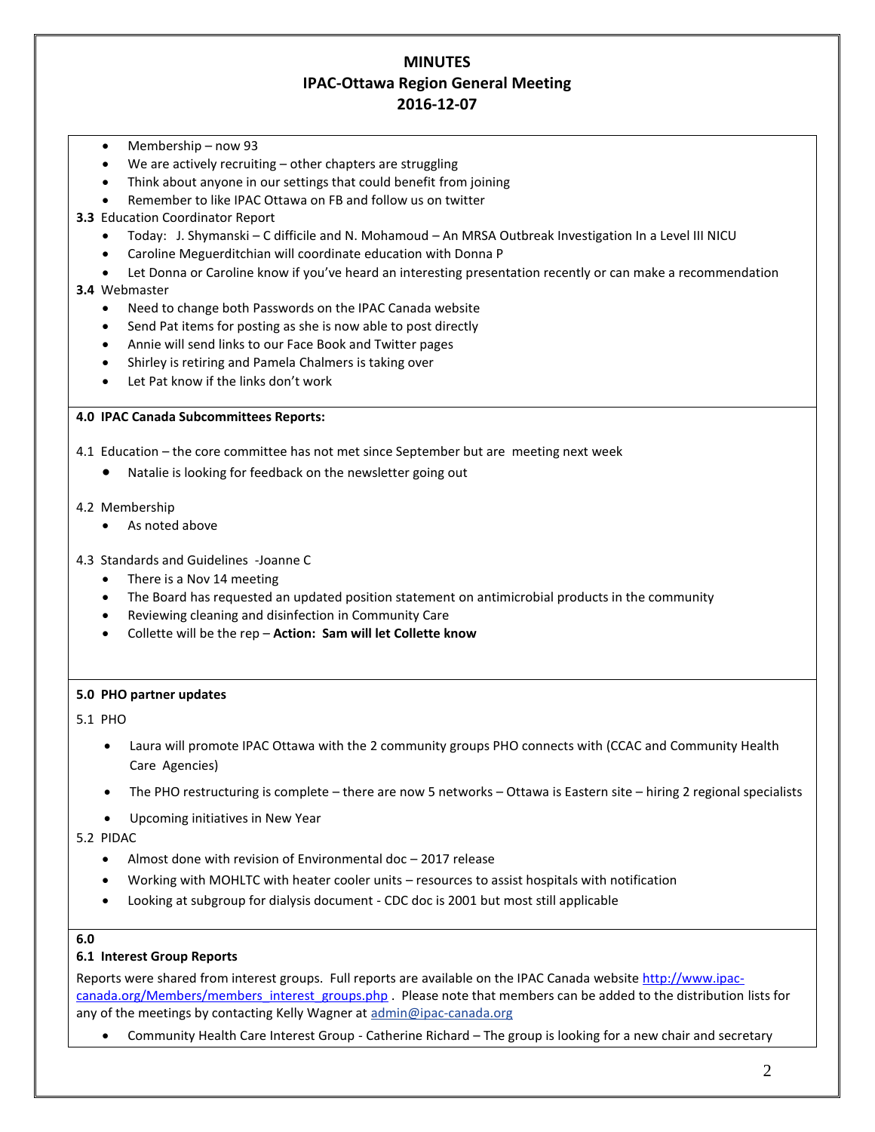# **MINUTES IPAC-Ottawa Region General Meeting 2016-12-07**

- Membership now 93
- We are actively recruiting other chapters are struggling
- Think about anyone in our settings that could benefit from joining
- Remember to like IPAC Ottawa on FB and follow us on twitter
- **3.3** Education Coordinator Report
	- Today: J. Shymanski C difficile and N. Mohamoud An MRSA Outbreak Investigation In a Level III NICU
	- Caroline Meguerditchian will coordinate education with Donna P
	- Let Donna or Caroline know if you've heard an interesting presentation recently or can make a recommendation
- **3.4** Webmaster
	- Need to change both Passwords on the IPAC Canada website
	- Send Pat items for posting as she is now able to post directly
	- Annie will send links to our Face Book and Twitter pages
	- Shirley is retiring and Pamela Chalmers is taking over
	- Let Pat know if the links don't work

### **4.0 IPAC Canada Subcommittees Reports:**

- 4.1 Education the core committee has not met since September but are meeting next week
	- Natalie is looking for feedback on the newsletter going out
- 4.2 Membership
	- As noted above
- 4.3 Standards and Guidelines -Joanne C
	- There is a Nov 14 meeting
	- The Board has requested an updated position statement on antimicrobial products in the community
	- Reviewing cleaning and disinfection in Community Care
	- Collette will be the rep **Action: Sam will let Collette know**

#### **5.0 PHO partner updates**

5.1 PHO

- Laura will promote IPAC Ottawa with the 2 community groups PHO connects with (CCAC and Community Health Care Agencies)
- The PHO restructuring is complete there are now 5 networks Ottawa is Eastern site hiring 2 regional specialists
- Upcoming initiatives in New Year

5.2 PIDAC

- Almost done with revision of Environmental doc 2017 release
- Working with MOHLTC with heater cooler units resources to assist hospitals with notification
- Looking at subgroup for dialysis document CDC doc is 2001 but most still applicable

#### **6.0**

#### **6.1 Interest Group Reports**

Reports were shared from interest groups. Full reports are available on the IPAC Canada website [http://www.ipac](http://www.ipac-canada.org/Members/members_interest_groups.php)[canada.org/Members/members\\_interest\\_groups.php](http://www.ipac-canada.org/Members/members_interest_groups.php) . Please note that members can be added to the distribution lists for any of the meetings by contacting Kelly Wagner a[t admin@ipac-canada.org](mailto:admin@ipac-canada.org)

[Community Health Care Interest Group](http://www.ipac-canada.org/Members/members_comm.php) - Catherine Richard – The group is looking for a new chair and secretary